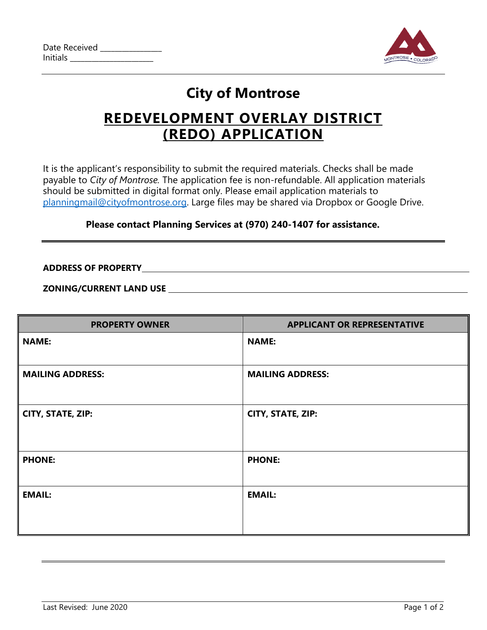| Date Received   |  |
|-----------------|--|
| <b>Initials</b> |  |



# **City of Montrose**

## **REDEVELOPMENT OVERLAY DISTRICT (REDO) APPLICATION**

It is the applicant's responsibility to submit the required materials. Checks shall be made payable to *City of Montrose.* The application fee is non-refundable. All application materials should be submitted in digital format only. Please email application materials to [planningmail@cityofmontrose.org.](mailto:planningmail@cityofmontrose.org) Large files may be shared via Dropbox or Google Drive.

#### **Please contact Planning Services at (970) 240-1407 for assistance.**

**ADDRESS OF PROPERTY**

**ZONING/CURRENT LAND USE** 

| <b>PROPERTY OWNER</b>   | <b>APPLICANT OR REPRESENTATIVE</b> |
|-------------------------|------------------------------------|
| <b>NAME:</b>            | <b>NAME:</b>                       |
| <b>MAILING ADDRESS:</b> | <b>MAILING ADDRESS:</b>            |
| CITY, STATE, ZIP:       | CITY, STATE, ZIP:                  |
| <b>PHONE:</b>           | <b>PHONE:</b>                      |
| <b>EMAIL:</b>           | <b>EMAIL:</b>                      |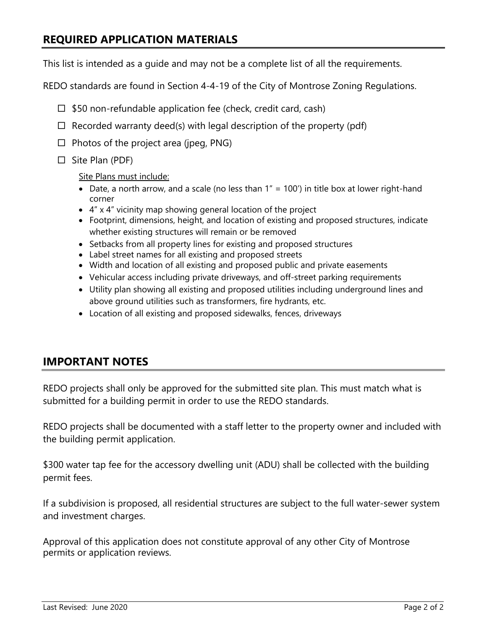## **REQUIRED APPLICATION MATERIALS**

This list is intended as a guide and may not be a complete list of all the requirements.

REDO standards are found in Section 4-4-19 of the City of Montrose Zoning Regulations.

- $\Box$  \$50 non-refundable application fee (check, credit card, cash)
- $\Box$  Recorded warranty deed(s) with legal description of the property (pdf)
- $\Box$  Photos of the project area (jpeg, PNG)
- $\Box$  Site Plan (PDF)

Site Plans must include:

- Date, a north arrow, and a scale (no less than  $1'' = 100'$ ) in title box at lower right-hand corner
- 4" x 4" vicinity map showing general location of the project
- Footprint, dimensions, height, and location of existing and proposed structures, indicate whether existing structures will remain or be removed
- Setbacks from all property lines for existing and proposed structures
- Label street names for all existing and proposed streets
- Width and location of all existing and proposed public and private easements
- Vehicular access including private driveways, and off-street parking requirements
- Utility plan showing all existing and proposed utilities including underground lines and above ground utilities such as transformers, fire hydrants, etc.
- Location of all existing and proposed sidewalks, fences, driveways

### **IMPORTANT NOTES**

REDO projects shall only be approved for the submitted site plan. This must match what is submitted for a building permit in order to use the REDO standards.

REDO projects shall be documented with a staff letter to the property owner and included with the building permit application.

\$300 water tap fee for the accessory dwelling unit (ADU) shall be collected with the building permit fees.

If a subdivision is proposed, all residential structures are subject to the full water-sewer system and investment charges.

Approval of this application does not constitute approval of any other City of Montrose permits or application reviews.